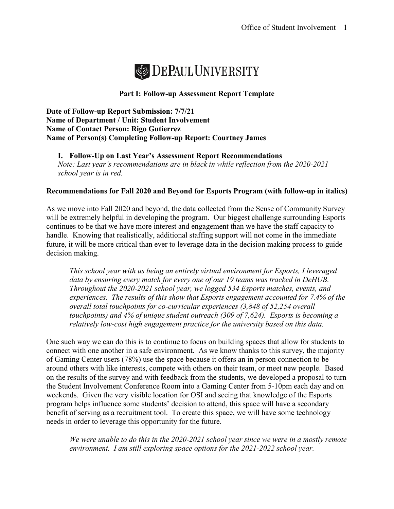

# **Part I: Follow-up Assessment Report Template**

**Date of Follow-up Report Submission: 7/7/21 Name of Department / Unit: Student Involvement Name of Contact Person: Rigo Gutierrez Name of Person(s) Completing Follow-up Report: Courtney James**

**I. Follow-Up on Last Year's Assessment Report Recommendations**  *Note: Last year's recommendations are in black in while reflection from the 2020-2021 school year is in red.* 

## **Recommendations for Fall 2020 and Beyond for Esports Program (with follow-up in italics)**

As we move into Fall 2020 and beyond, the data collected from the Sense of Community Survey will be extremely helpful in developing the program. Our biggest challenge surrounding Esports continues to be that we have more interest and engagement than we have the staff capacity to handle. Knowing that realistically, additional staffing support will not come in the immediate future, it will be more critical than ever to leverage data in the decision making process to guide decision making.

*This school year with us being an entirely virtual environment for Esports, I leveraged data by ensuring every match for every one of our 19 teams was tracked in DeHUB. Throughout the 2020-2021 school year, we logged 534 Esports matches, events, and experiences. The results of this show that Esports engagement accounted for 7.4% of the overall total touchpoints for co-curricular experiences (3,848 of 52,254 overall touchpoints) and 4% of unique student outreach (309 of 7,624). Esports is becoming a relatively low-cost high engagement practice for the university based on this data.*

One such way we can do this is to continue to focus on building spaces that allow for students to connect with one another in a safe environment. As we know thanks to this survey, the majority of Gaming Center users (78%) use the space because it offers an in person connection to be around others with like interests, compete with others on their team, or meet new people. Based on the results of the survey and with feedback from the students, we developed a proposal to turn the Student Involvement Conference Room into a Gaming Center from 5-10pm each day and on weekends. Given the very visible location for OSI and seeing that knowledge of the Esports program helps influence some students' decision to attend, this space will have a secondary benefit of serving as a recruitment tool. To create this space, we will have some technology needs in order to leverage this opportunity for the future.

*We were unable to do this in the 2020-2021 school year since we were in a mostly remote environment. I am still exploring space options for the 2021-2022 school year.*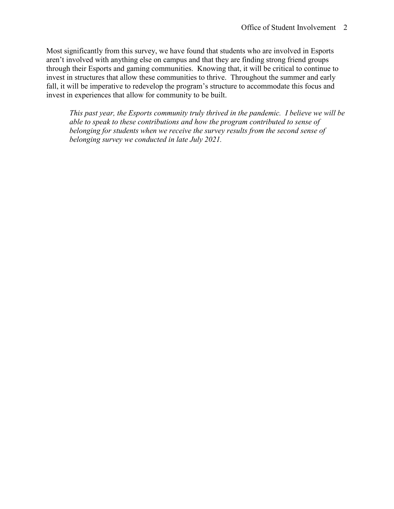Most significantly from this survey, we have found that students who are involved in Esports aren't involved with anything else on campus and that they are finding strong friend groups through their Esports and gaming communities. Knowing that, it will be critical to continue to invest in structures that allow these communities to thrive. Throughout the summer and early fall, it will be imperative to redevelop the program's structure to accommodate this focus and invest in experiences that allow for community to be built.

*This past year, the Esports community truly thrived in the pandemic. I believe we will be able to speak to these contributions and how the program contributed to sense of belonging for students when we receive the survey results from the second sense of belonging survey we conducted in late July 2021.*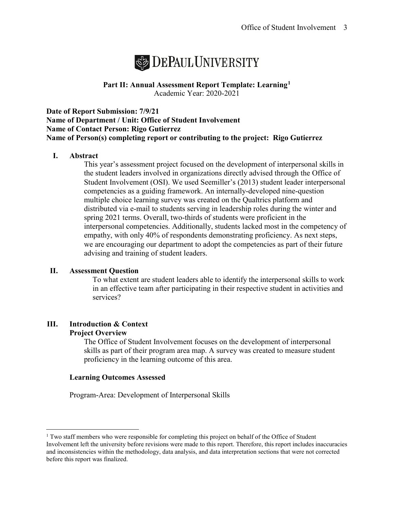

# **Part II: Annual Assessment Report Template: Learning[1](#page-2-0)** Academic Year: 2020-2021

**Date of Report Submission: 7/9/21 Name of Department / Unit: Office of Student Involvement Name of Contact Person: Rigo Gutierrez Name of Person(s) completing report or contributing to the project: Rigo Gutierrez**

# **I. Abstract**

This year's assessment project focused on the development of interpersonal skills in the student leaders involved in organizations directly advised through the Office of Student Involvement (OSI). We used Seemiller's (2013) student leader interpersonal competencies as a guiding framework. An internally-developed nine-question multiple choice learning survey was created on the Qualtrics platform and distributed via e-mail to students serving in leadership roles during the winter and spring 2021 terms. Overall, two-thirds of students were proficient in the interpersonal competencies. Additionally, students lacked most in the competency of empathy, with only 40% of respondents demonstrating proficiency. As next steps, we are encouraging our department to adopt the competencies as part of their future advising and training of student leaders.

#### **II. Assessment Question**

To what extent are student leaders able to identify the interpersonal skills to work in an effective team after participating in their respective student in activities and services?

#### **III. Introduction & Context Project Overview**

The Office of Student Involvement focuses on the development of interpersonal skills as part of their program area map. A survey was created to measure student proficiency in the learning outcome of this area.

#### **Learning Outcomes Assessed**

Program-Area: Development of Interpersonal Skills

<span id="page-2-0"></span> $1$  Two staff members who were responsible for completing this project on behalf of the Office of Student Involvement left the university before revisions were made to this report. Therefore, this report includes inaccuracies and inconsistencies within the methodology, data analysis, and data interpretation sections that were not corrected before this report was finalized.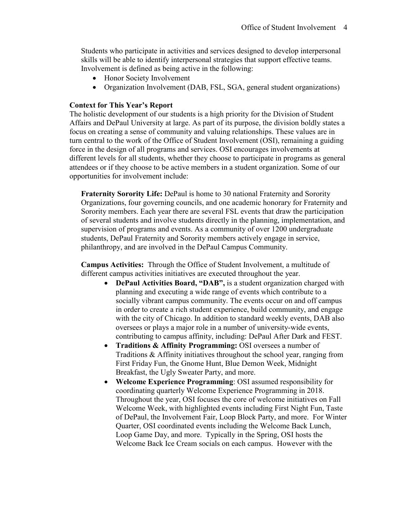Students who participate in activities and services designed to develop interpersonal skills will be able to identify interpersonal strategies that support effective teams. Involvement is defined as being active in the following:

- Honor Society Involvement
- Organization Involvement (DAB, FSL, SGA, general student organizations)

# **Context for This Year's Report**

The holistic development of our students is a high priority for the Division of Student Affairs and DePaul University at large. As part of its purpose, the division boldly states a focus on creating a sense of community and valuing relationships. These values are in turn central to the work of the Office of Student Involvement (OSI), remaining a guiding force in the design of all programs and services. OSI encourages involvements at different levels for all students, whether they choose to participate in programs as general attendees or if they choose to be active members in a student organization. Some of our opportunities for involvement include:

**Fraternity Sorority Life:** DePaul is home to 30 national Fraternity and Sorority Organizations, four governing councils, and one academic honorary for Fraternity and Sorority members. Each year there are several FSL events that draw the participation of several students and involve students directly in the planning, implementation, and supervision of programs and events. As a community of over 1200 undergraduate students, DePaul Fraternity and Sorority members actively engage in service, philanthropy, and are involved in the DePaul Campus Community.

**Campus Activities:** Through the Office of Student Involvement, a multitude of different campus activities initiatives are executed throughout the year.

- **DePaul Activities Board, "DAB",** is a student organization charged with planning and executing a wide range of events which contribute to a socially vibrant campus community. The events occur on and off campus in order to create a rich student experience, build community, and engage with the city of Chicago. In addition to standard weekly events, DAB also oversees or plays a major role in a number of university-wide events, contributing to campus affinity, including: DePaul After Dark and FEST.
- **Traditions & Affinity Programming:** OSI oversees a number of Traditions & Affinity initiatives throughout the school year, ranging from First Friday Fun, the Gnome Hunt, Blue Demon Week, Midnight Breakfast, the Ugly Sweater Party, and more.
- **Welcome Experience Programming**: OSI assumed responsibility for coordinating quarterly Welcome Experience Programming in 2018. Throughout the year, OSI focuses the core of welcome initiatives on Fall Welcome Week, with highlighted events including First Night Fun, Taste of DePaul, the Involvement Fair, Loop Block Party, and more. For Winter Quarter, OSI coordinated events including the Welcome Back Lunch, Loop Game Day, and more. Typically in the Spring, OSI hosts the Welcome Back Ice Cream socials on each campus. However with the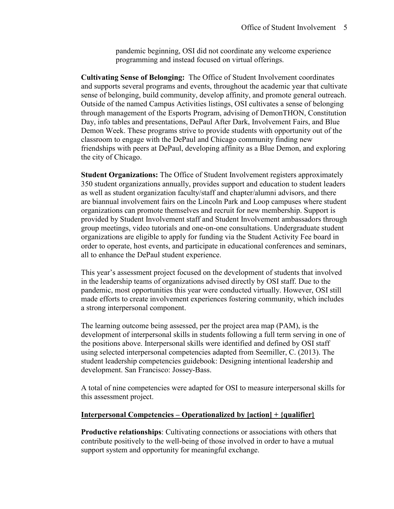pandemic beginning, OSI did not coordinate any welcome experience programming and instead focused on virtual offerings.

**Cultivating Sense of Belonging:** The Office of Student Involvement coordinates and supports several programs and events, throughout the academic year that cultivate sense of belonging, build community, develop affinity, and promote general outreach. Outside of the named Campus Activities listings, OSI cultivates a sense of belonging through management of the Esports Program, advising of DemonTHON, Constitution Day, info tables and presentations, DePaul After Dark, Involvement Fairs, and Blue Demon Week. These programs strive to provide students with opportunity out of the classroom to engage with the DePaul and Chicago community finding new friendships with peers at DePaul, developing affinity as a Blue Demon, and exploring the city of Chicago.

**Student Organizations:** The Office of Student Involvement registers approximately 350 student organizations annually, provides support and education to student leaders as well as student organization faculty/staff and chapter/alumni advisors, and there are biannual involvement fairs on the Lincoln Park and Loop campuses where student organizations can promote themselves and recruit for new membership. Support is provided by Student Involvement staff and Student Involvement ambassadors through group meetings, video tutorials and one-on-one consultations. Undergraduate student organizations are eligible to apply for funding via the Student Activity Fee board in order to operate, host events, and participate in educational conferences and seminars, all to enhance the DePaul student experience.

This year's assessment project focused on the development of students that involved in the leadership teams of organizations advised directly by OSI staff. Due to the pandemic, most opportunities this year were conducted virtually. However, OSI still made efforts to create involvement experiences fostering community, which includes a strong interpersonal component.

The learning outcome being assessed, per the project area map (PAM), is the development of interpersonal skills in students following a full term serving in one of the positions above. Interpersonal skills were identified and defined by OSI staff using selected interpersonal competencies adapted from Seemiller, C. (2013). The student leadership competencies guidebook: Designing intentional leadership and development. San Francisco: Jossey-Bass.

A total of nine competencies were adapted for OSI to measure interpersonal skills for this assessment project.

#### **Interpersonal Competencies – Operationalized by [action] + {qualifier}**

**Productive relationships**: Cultivating connections or associations with others that contribute positively to the well-being of those involved in order to have a mutual support system and opportunity for meaningful exchange.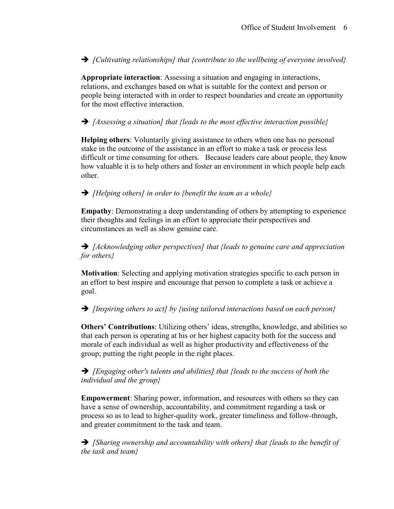*[Cultivating relationships] that {contribute to the wellbeing of everyone involved}*

**Appropriate interaction**: Assessing a situation and engaging in interactions, relations, and exchanges based on what is suitable for the context and person or people being interacted with in order to respect boundaries and create an opportunity for the most effective interaction.

*[Assessing a situation] that {leads to the most effective interaction possible}*

**Helping others**: Voluntarily giving assistance to others when one has no personal stake in the outcome of the assistance in an effort to make a task or process less difficult or time consuming for others. Because leaders care about people, they know how valuable it is to help others and foster an environment in which people help each other.

# *[Helping others] in order to {benefit the team as a whole}*

**Empathy**: Demonstrating a deep understanding of others by attempting to experience their thoughts and feelings in an effort to appreciate their perspectives and circumstances as well as show genuine care.

 *[Acknowledging other perspectives] that {leads to genuine care and appreciation for others}*

**Motivation**: Selecting and applying motivation strategies specific to each person in an effort to best inspire and encourage that person to complete a task or achieve a goal.

*[Inspiring others to act] by {using tailored interactions based on each person}*

**Others' Contributions**: Utilizing others' ideas, strengths, knowledge, and abilities so that each person is operating at his or her highest capacity both for the success and morale of each individual as well as higher productivity and effectiveness of the group; putting the right people in the right places.

 *[Engaging other's talents and abilities] that {leads to the success of both the individual and the group}*

**Empowerment**: Sharing power, information, and resources with others so they can have a sense of ownership, accountability, and commitment regarding a task or process so as to lead to higher-quality work, greater timeliness and follow-through, and greater commitment to the task and team.

 *[Sharing ownership and accountability with others] that {leads to the benefit of the task and team}*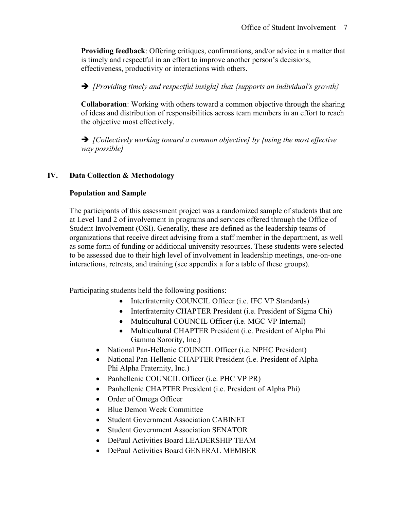**Providing feedback**: Offering critiques, confirmations, and/or advice in a matter that is timely and respectful in an effort to improve another person's decisions, effectiveness, productivity or interactions with others.

*[Providing timely and respectful insight] that {supports an individual's growth}*

**Collaboration**: Working with others toward a common objective through the sharing of ideas and distribution of responsibilities across team members in an effort to reach the objective most effectively.

 *[Collectively working toward a common objective] by {using the most effective way possible}*

# **IV. Data Collection & Methodology**

# **Population and Sample**

The participants of this assessment project was a randomized sample of students that are at Level 1and 2 of involvement in programs and services offered through the Office of Student Involvement (OSI). Generally, these are defined as the leadership teams of organizations that receive direct advising from a staff member in the department, as well as some form of funding or additional university resources. These students were selected to be assessed due to their high level of involvement in leadership meetings, one-on-one interactions, retreats, and training (see appendix a for a table of these groups).

Participating students held the following positions:

- Interfraternity COUNCIL Officer (i.e. IFC VP Standards)
- Interfraternity CHAPTER President (i.e. President of Sigma Chi)
- Multicultural COUNCIL Officer (i.e. MGC VP Internal)
- Multicultural CHAPTER President (i.e. President of Alpha Phi Gamma Sorority, Inc.)
- National Pan-Hellenic COUNCIL Officer (i.e. NPHC President)
- National Pan-Hellenic CHAPTER President (i.e. President of Alpha Phi Alpha Fraternity, Inc.)
- Panhellenic COUNCIL Officer (i.e. PHC VP PR)
- Panhellenic CHAPTER President (i.e. President of Alpha Phi)
- Order of Omega Officer
- Blue Demon Week Committee
- Student Government Association CABINET
- Student Government Association SENATOR
- DePaul Activities Board LEADERSHIP TEAM
- DePaul Activities Board GENERAL MEMBER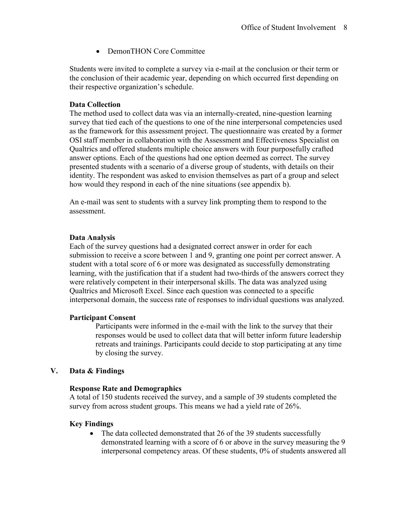• DemonTHON Core Committee

Students were invited to complete a survey via e-mail at the conclusion or their term or the conclusion of their academic year, depending on which occurred first depending on their respective organization's schedule.

## **Data Collection**

The method used to collect data was via an internally-created, nine-question learning survey that tied each of the questions to one of the nine interpersonal competencies used as the framework for this assessment project. The questionnaire was created by a former OSI staff member in collaboration with the Assessment and Effectiveness Specialist on Qualtrics and offered students multiple choice answers with four purposefully crafted answer options. Each of the questions had one option deemed as correct. The survey presented students with a scenario of a diverse group of students, with details on their identity. The respondent was asked to envision themselves as part of a group and select how would they respond in each of the nine situations (see appendix b).

An e-mail was sent to students with a survey link prompting them to respond to the assessment.

## **Data Analysis**

Each of the survey questions had a designated correct answer in order for each submission to receive a score between 1 and 9, granting one point per correct answer. A student with a total score of 6 or more was designated as successfully demonstrating learning, with the justification that if a student had two-thirds of the answers correct they were relatively competent in their interpersonal skills. The data was analyzed using Qualtrics and Microsoft Excel. Since each question was connected to a specific interpersonal domain, the success rate of responses to individual questions was analyzed.

#### **Participant Consent**

Participants were informed in the e-mail with the link to the survey that their responses would be used to collect data that will better inform future leadership retreats and trainings. Participants could decide to stop participating at any time by closing the survey.

# **V. Data & Findings**

#### **Response Rate and Demographics**

A total of 150 students received the survey, and a sample of 39 students completed the survey from across student groups. This means we had a yield rate of 26%.

#### **Key Findings**

• The data collected demonstrated that 26 of the 39 students successfully demonstrated learning with a score of 6 or above in the survey measuring the 9 interpersonal competency areas. Of these students, 0% of students answered all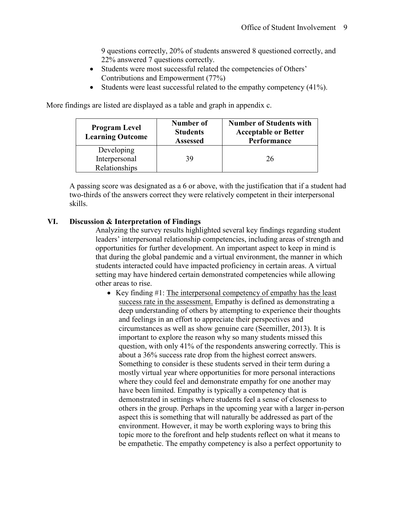9 questions correctly, 20% of students answered 8 questioned correctly, and 22% answered 7 questions correctly.

- Students were most successful related the competencies of Others' Contributions and Empowerment (77%)
- Students were least successful related to the empathy competency (41%).

More findings are listed are displayed as a table and graph in appendix c.

| <b>Program Level</b><br><b>Learning Outcome</b> | Number of<br><b>Students</b><br><b>Assessed</b> | <b>Number of Students with</b><br><b>Acceptable or Better</b><br>Performance |
|-------------------------------------------------|-------------------------------------------------|------------------------------------------------------------------------------|
| Developing                                      |                                                 |                                                                              |
| Interpersonal                                   | 39                                              | 26                                                                           |
| Relationships                                   |                                                 |                                                                              |

A passing score was designated as a 6 or above, with the justification that if a student had two-thirds of the answers correct they were relatively competent in their interpersonal skills.

## **VI. Discussion & Interpretation of Findings**

Analyzing the survey results highlighted several key findings regarding student leaders' interpersonal relationship competencies, including areas of strength and opportunities for further development. An important aspect to keep in mind is that during the global pandemic and a virtual environment, the manner in which students interacted could have impacted proficiency in certain areas. A virtual setting may have hindered certain demonstrated competencies while allowing other areas to rise.

• Key finding #1: The interpersonal competency of empathy has the least success rate in the assessment. Empathy is defined as demonstrating a deep understanding of others by attempting to experience their thoughts and feelings in an effort to appreciate their perspectives and circumstances as well as show genuine care (Seemiller, 2013). It is important to explore the reason why so many students missed this question, with only 41% of the respondents answering correctly. This is about a 36% success rate drop from the highest correct answers. Something to consider is these students served in their term during a mostly virtual year where opportunities for more personal interactions where they could feel and demonstrate empathy for one another may have been limited. Empathy is typically a competency that is demonstrated in settings where students feel a sense of closeness to others in the group. Perhaps in the upcoming year with a larger in-person aspect this is something that will naturally be addressed as part of the environment. However, it may be worth exploring ways to bring this topic more to the forefront and help students reflect on what it means to be empathetic. The empathy competency is also a perfect opportunity to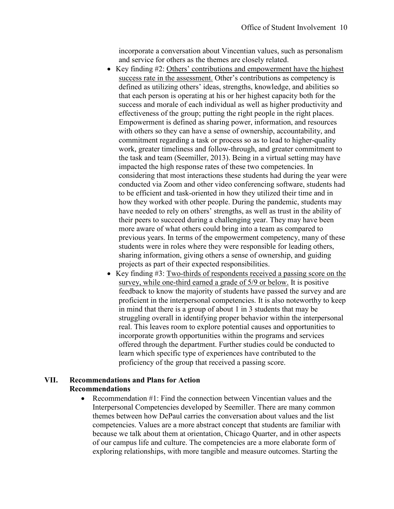incorporate a conversation about Vincentian values, such as personalism and service for others as the themes are closely related.

- Key finding #2: Others' contributions and empowerment have the highest success rate in the assessment. Other's contributions as competency is defined as utilizing others' ideas, strengths, knowledge, and abilities so that each person is operating at his or her highest capacity both for the success and morale of each individual as well as higher productivity and effectiveness of the group; putting the right people in the right places. Empowerment is defined as sharing power, information, and resources with others so they can have a sense of ownership, accountability, and commitment regarding a task or process so as to lead to higher-quality work, greater timeliness and follow-through, and greater commitment to the task and team (Seemiller, 2013). Being in a virtual setting may have impacted the high response rates of these two competencies. In considering that most interactions these students had during the year were conducted via Zoom and other video conferencing software, students had to be efficient and task-oriented in how they utilized their time and in how they worked with other people. During the pandemic, students may have needed to rely on others' strengths, as well as trust in the ability of their peers to succeed during a challenging year. They may have been more aware of what others could bring into a team as compared to previous years. In terms of the empowerment competency, many of these students were in roles where they were responsible for leading others, sharing information, giving others a sense of ownership, and guiding projects as part of their expected responsibilities.
- Key finding #3: Two-thirds of respondents received a passing score on the survey, while one-third earned a grade of 5/9 or below. It is positive feedback to know the majority of students have passed the survey and are proficient in the interpersonal competencies. It is also noteworthy to keep in mind that there is a group of about 1 in 3 students that may be struggling overall in identifying proper behavior within the interpersonal real. This leaves room to explore potential causes and opportunities to incorporate growth opportunities within the programs and services offered through the department. Further studies could be conducted to learn which specific type of experiences have contributed to the proficiency of the group that received a passing score.

# **VII. Recommendations and Plans for Action Recommendations**

• Recommendation #1: Find the connection between Vincentian values and the Interpersonal Competencies developed by Seemiller. There are many common themes between how DePaul carries the conversation about values and the list competencies. Values are a more abstract concept that students are familiar with because we talk about them at orientation, Chicago Quarter, and in other aspects of our campus life and culture. The competencies are a more elaborate form of exploring relationships, with more tangible and measure outcomes. Starting the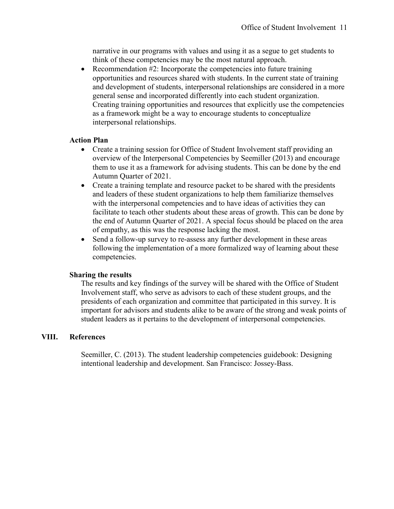narrative in our programs with values and using it as a segue to get students to think of these competencies may be the most natural approach.

• Recommendation #2: Incorporate the competencies into future training opportunities and resources shared with students. In the current state of training and development of students, interpersonal relationships are considered in a more general sense and incorporated differently into each student organization. Creating training opportunities and resources that explicitly use the competencies as a framework might be a way to encourage students to conceptualize interpersonal relationships.

# **Action Plan**

- Create a training session for Office of Student Involvement staff providing an overview of the Interpersonal Competencies by Seemiller (2013) and encourage them to use it as a framework for advising students. This can be done by the end Autumn Quarter of 2021.
- Create a training template and resource packet to be shared with the presidents and leaders of these student organizations to help them familiarize themselves with the interpersonal competencies and to have ideas of activities they can facilitate to teach other students about these areas of growth. This can be done by the end of Autumn Quarter of 2021. A special focus should be placed on the area of empathy, as this was the response lacking the most.
- Send a follow-up survey to re-assess any further development in these areas following the implementation of a more formalized way of learning about these competencies.

# **Sharing the results**

The results and key findings of the survey will be shared with the Office of Student Involvement staff, who serve as advisors to each of these student groups, and the presidents of each organization and committee that participated in this survey. It is important for advisors and students alike to be aware of the strong and weak points of student leaders as it pertains to the development of interpersonal competencies.

# **VIII. References**

Seemiller, C. (2013). The student leadership competencies guidebook: Designing intentional leadership and development. San Francisco: Jossey-Bass.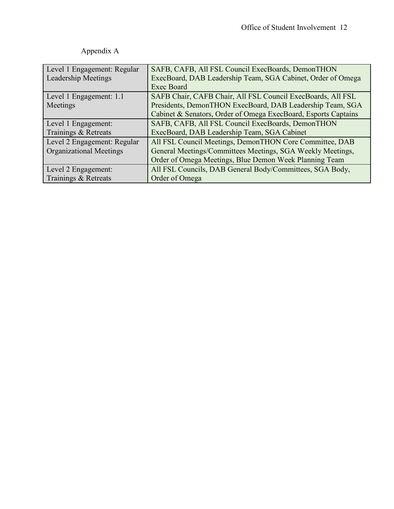| Level 1 Engagement: Regular    | SAFB, CAFB, All FSL Council ExecBoards, DemonTHON              |
|--------------------------------|----------------------------------------------------------------|
| Leadership Meetings            | ExecBoard, DAB Leadership Team, SGA Cabinet, Order of Omega    |
|                                | <b>Exec Board</b>                                              |
| Level 1 Engagement: 1.1        | SAFB Chair, CAFB Chair, All FSL Council ExecBoards, All FSL    |
| Meetings                       | Presidents, DemonTHON ExecBoard, DAB Leadership Team, SGA      |
|                                | Cabinet & Senators, Order of Omega ExecBoard, Esports Captains |
| Level 1 Engagement:            | SAFB, CAFB, All FSL Council ExecBoards, DemonTHON              |
| Trainings & Retreats           | ExecBoard, DAB Leadership Team, SGA Cabinet                    |
| Level 2 Engagement: Regular    | All FSL Council Meetings, DemonTHON Core Committee, DAB        |
| <b>Organizational Meetings</b> | General Meetings/Committees Meetings, SGA Weekly Meetings,     |
|                                | Order of Omega Meetings, Blue Demon Week Planning Team         |
| Level 2 Engagement:            | All FSL Councils, DAB General Body/Committees, SGA Body,       |
| Trainings & Retreats           | Order of Omega                                                 |

# Appendix A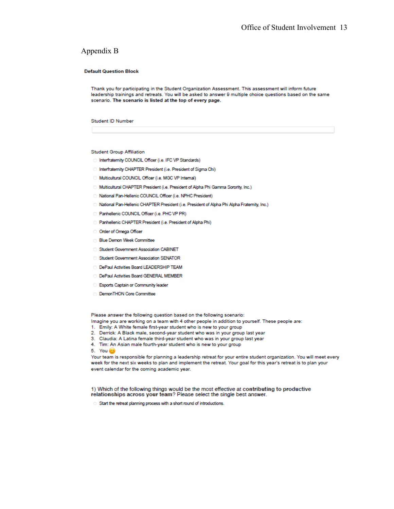#### Appendix B

#### **Default Question Block**

Thank you for participating in the Student Organization Assessment. This assessment will inform future leadership trainings and retreats. You will be asked to answer 9 multiple choice questions based on the same scenario. The scenario is listed at the top of every page.

#### **Student ID Number**

**Student Group Affiliation** 

- Interfraternity COUNCIL Officer (i.e. IFC VP Standards)
- Interfraternity CHAPTER President (i.e. President of Sigma Chi)
- Multicultural COUNCIL Officer (i.e. MGC VP Internal)
- Multicultural CHAPTER President (i.e. President of Alpha Phi Gamma Sorority, Inc.)
- All National Pan-Hellenic COUNCIL Officer (i.e. NPHC President)
- [3] National Pan-Hellenic CHAPTER President (i.e. President of Alpha Phi Alpha Fraternity, Inc.)
- Panhellenic COUNCIL Officer (i.e. PHC VP PR)
- Panhellenic CHAPTER President (i.e. President of Alpha Phi)
- Order of Omega Officer
- **Blue Demon Week Committee**
- Student Government Association CABINET
- Student Government Association SENATOR
- DePaul Activities Board LEADERSHIP TEAM
- D DePaul Activities Board GENERAL MEMBER
- Esports Captain or Community leader
- DemonTHON Core Committee

Please answer the following question based on the following scenario:

Imagine you are working on a team with 4 other people in addition to yourself. These people are:

- 1. Emily: A White female first-year student who is new to your group
- 2. Derrick: A Black male, second-year student who was in your group last year
- 3. Claudia: A Latina female third-year student who was in your group last year
- 4. Tim: An Asian male fourth-year student who is new to your group

5. You (2)

Your team is responsible for planning a leadership retreat for your entire student organization. You will meet every week for the next six weeks to plan and implement the retreat. Your goal for this year's retreat is to plan your event calendar for the coming academic year.

1) Which of the following things would be the most effective at contributing to productive relationships across your team? Please select the single best answer.

Start the retreat planning process with a short round of introductions.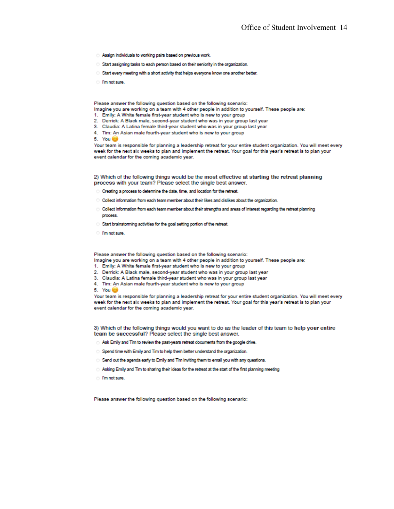- Assign individuals to working pairs based on previous work.
- Start assigning tasks to each person based on their seniority in the organization.
- Start every meeting with a short activity that helps everyone know one another better.
- **C** I'm not sure

Please answer the following question based on the following scenario:

- Imagine you are working on a team with 4 other people in addition to yourself. These people are:
- 1. Emily: A White female first-year student who is new to your group
- 2. Derrick: A Black male, second-year student who was in your group last year
- 3. Claudia: A Latina female third-year student who was in your group last year
- 4. Tim: An Asian male fourth-year student who is new to your group

5. You 0

Your team is responsible for planning a leadership retreat for your entire student organization. You will meet every week for the next six weeks to plan and implement the retreat. Your goal for this year's retreat is to plan your event calendar for the coming academic year.

#### 2) Which of the following things would be the most effective at starting the retreat planning process with your team? Please select the single best answer.

- C Creating a process to determine the date, time, and location for the retreat.
- Collect information from each team member about their likes and dislikes about the organization.
- O lect information from each team member about their strengths and areas of interest regarding the retreat planning process.
- Start brainstorming activities for the goal setting portion of the retreat.
- **C** I'm not sure

Please answer the following question based on the following scenario:

- Imagine you are working on a team with 4 other people in addition to yourself. These people are:
- 1. Emily: A White female first-year student who is new to your group
- 2. Derrick: A Black male, second-year student who was in your group last year
- 3. Claudia: A Latina female third-year student who was in your group last year
- 4. Tim: An Asian male fourth-year student who is new to your group
- 5. You (

Your team is responsible for planning a leadership retreat for your entire student organization. You will meet every week for the next six weeks to plan and implement the retreat. Your goal for this year's retreat is to plan your event calendar for the coming academic year.

3) Which of the following things would you want to do as the leader of this team to help your entire team be successful? Please select the single best answer.

- Ask Emily and Tim to review the past-years retreat documents from the google drive.
- Spend time with Emily and Tim to help them better understand the organization.
- Send out the agenda early to Emily and Tim inviting them to email you with any questions.
- Asking Emily and Tim to sharing their ideas for the retreat at the start of the first planning meeting
- <sup>n</sup>m not sure.

Please answer the following question based on the following scenario: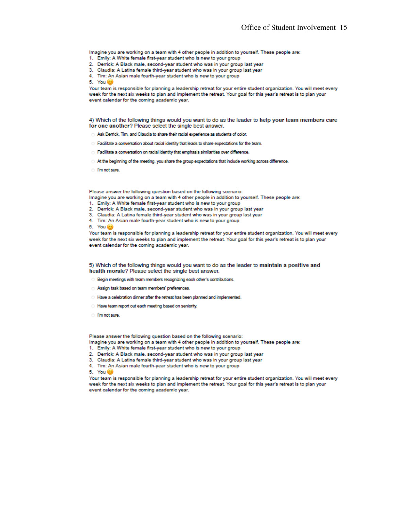Imagine you are working on a team with 4 other people in addition to yourself. These people are:

- 1. Emily: A White female first-year student who is new to your group
- 2. Derrick: A Black male, second-year student who was in your group last year
- 3. Claudia: A Latina female third-year student who was in your group last year
- 4. Tim: An Asian male fourth-year student who is new to your group
- 5. You (2)

Your team is responsible for planning a leadership retreat for your entire student organization. You will meet every week for the next six weeks to plan and implement the retreat. Your goal for this year's retreat is to plan your event calendar for the coming academic year.

4) Which of the following things would you want to do as the leader to help your team members care for one another? Please select the single best answer.

- Ask Derrick, Tim, and Claudia to share their racial experience as students of color.
- C Facilitate a conversation about racial identity that leads to share expectations for the team.
- Facilitate a conversation on racial identity that emphasis similarities over difference.
- At the beginning of the meeting, you share the group expectations that include working across difference.
- <sup>1</sup> I'm not sure.

Please answer the following question based on the following scenario:

- Imagine you are working on a team with 4 other people in addition to yourself. These people are:
- 1. Emily: A White female first-year student who is new to your group
- 2. Derrick: A Black male, second-year student who was in your group last year
- 3. Claudia: A Latina female third-year student who was in your group last year
- 4. Tim: An Asian male fourth-year student who is new to your group
- 5. You (

Your team is responsible for planning a leadership retreat for your entire student organization. You will meet every week for the next six weeks to plan and implement the retreat. Your goal for this year's retreat is to plan your event calendar for the coming academic year.

5) Which of the following things would you want to do as the leader to maintain a positive and health morale? Please select the single best answer.

- Begin meetings with team members recognizing each other's contributions.
- Assign task based on team members' preferences.
- All Have a celebration dinner after the retreat has been planned and implemented.
- Have team report out each meeting based on seniority.
- <sup>o</sup> I'm not sure.

Please answer the following question based on the following scenario:

Imagine you are working on a team with 4 other people in addition to yourself. These people are:

- 1. Emily: A White female first-year student who is new to your group
- 2. Derrick: A Black male, second-year student who was in your group last year
- 3. Claudia: A Latina female third-year student who was in your group last year
- 4. Tim: An Asian male fourth-year student who is new to your group

5. You 0

Your team is responsible for planning a leadership retreat for your entire student organization. You will meet every week for the next six weeks to plan and implement the retreat. Your goal for this year's retreat is to plan your event calendar for the coming academic year.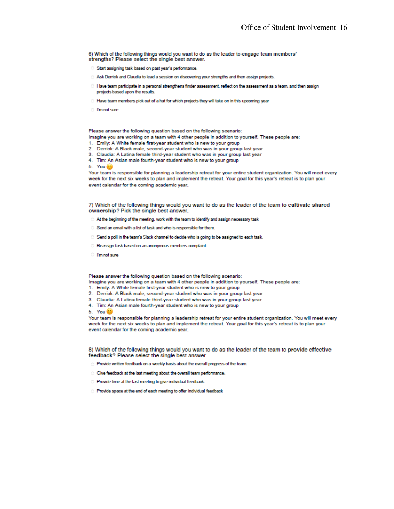6) Which of the following things would you want to do as the leader to engage team members' strengths? Please select the single best answer.

- Start assigning task based on past year's performance.
- Ask Derrick and Claudia to lead a session on discovering your strengths and then assign projects.
- <sup>0</sup> Have team participate in a personal strengthens finder assessment, reflect on the assessment as a team, and then assign projects based upon the results.
- All Have team members pick out of a hat for which projects they will take on in this upcoming year
- **C** I'm not sure.

Please answer the following question based on the following scenario:

- Imagine you are working on a team with 4 other people in addition to yourself. These people are:
- 1. Emily: A White female first-year student who is new to your group
- 2. Derrick: A Black male, second-year student who was in your group last year
- 3. Claudia: A Latina female third-year student who was in your group last year
- 4. Tim: An Asian male fourth-year student who is new to your group
- 5. You @

Your team is responsible for planning a leadership retreat for your entire student organization. You will meet every week for the next six weeks to plan and implement the retreat. Your goal for this year's retreat is to plan your event calendar for the coming academic year.

7) Which of the following things would you want to do as the leader of the team to cultivate shared ownership? Pick the single best answer.

- At the beginning of the meeting, work with the team to identify and assign necessary task
- Send an email with a list of task and who is responsible for them.
- Send a poll in the team's Slack channel to decide who is going to be assigned to each task.
- Reassign task based on an anonymous members complaint.
- <sup>1</sup> I'm not sure

Please answer the following question based on the following scenario:

- Imagine you are working on a team with 4 other people in addition to yourself. These people are:
- 1. Emily: A White female first-year student who is new to your group
- 2. Derrick: A Black male, second-year student who was in your group last year
- 3. Claudia: A Latina female third-year student who was in your group last year
- 4. Tim: An Asian male fourth-year student who is new to your group
- 5. You (

Your team is responsible for planning a leadership retreat for your entire student organization. You will meet every week for the next six weeks to plan and implement the retreat. Your goal for this year's retreat is to plan your event calendar for the coming academic year.

8) Which of the following things would you want to do as the leader of the team to provide effective feedback? Please select the single best answer.

- reprovide written feedback on a weekly basis about the overall progress of the team.
- Give feedback at the last meeting about the overall team performance.
- Provide time at the last meeting to give individual feedback.
- Provide space at the end of each meeting to offer individual feedback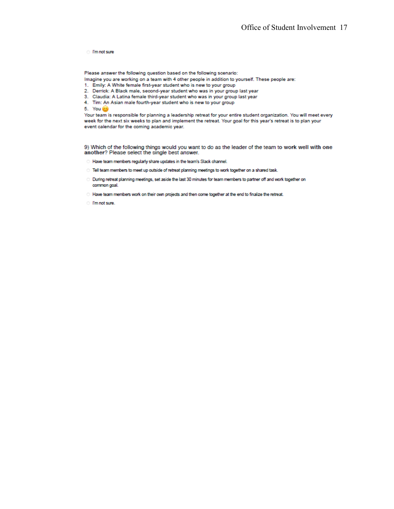**C** I'm not sure

Please answer the following question based on the following scenario:

Imagine you are working on a team with 4 other people in addition to yourself. These people are:

- 1. Emily: A White female first-year student who is new to your group
- 2. Derrick: A Black male, second-year student who was in your group last year
- 3. Claudia: A Latina female third-year student who was in your group last year
- 4. Tim: An Asian male fourth-year student who is new to your group

5. You @

Your team is responsible for planning a leadership retreat for your entire student organization. You will meet every week for the next six weeks to plan and implement the retreat. Your goal for this year's retreat is to plan your event calendar for the coming academic year.

9) Which of the following things would you want to do as the leader of the team to work well with one another? Please select the single best answer.

- <sup>1</sup> Have team members regularly share updates in the team's Slack channel.
- Tell team members to meet up outside of retreat planning meetings to work together on a shared task.
- O During retreat planning meetings, set aside the last 30 minutes for team members to partner off and work together on common goal.
- Have team members work on their own projects and then come together at the end to finalize the retreat.
- I'm not sure.